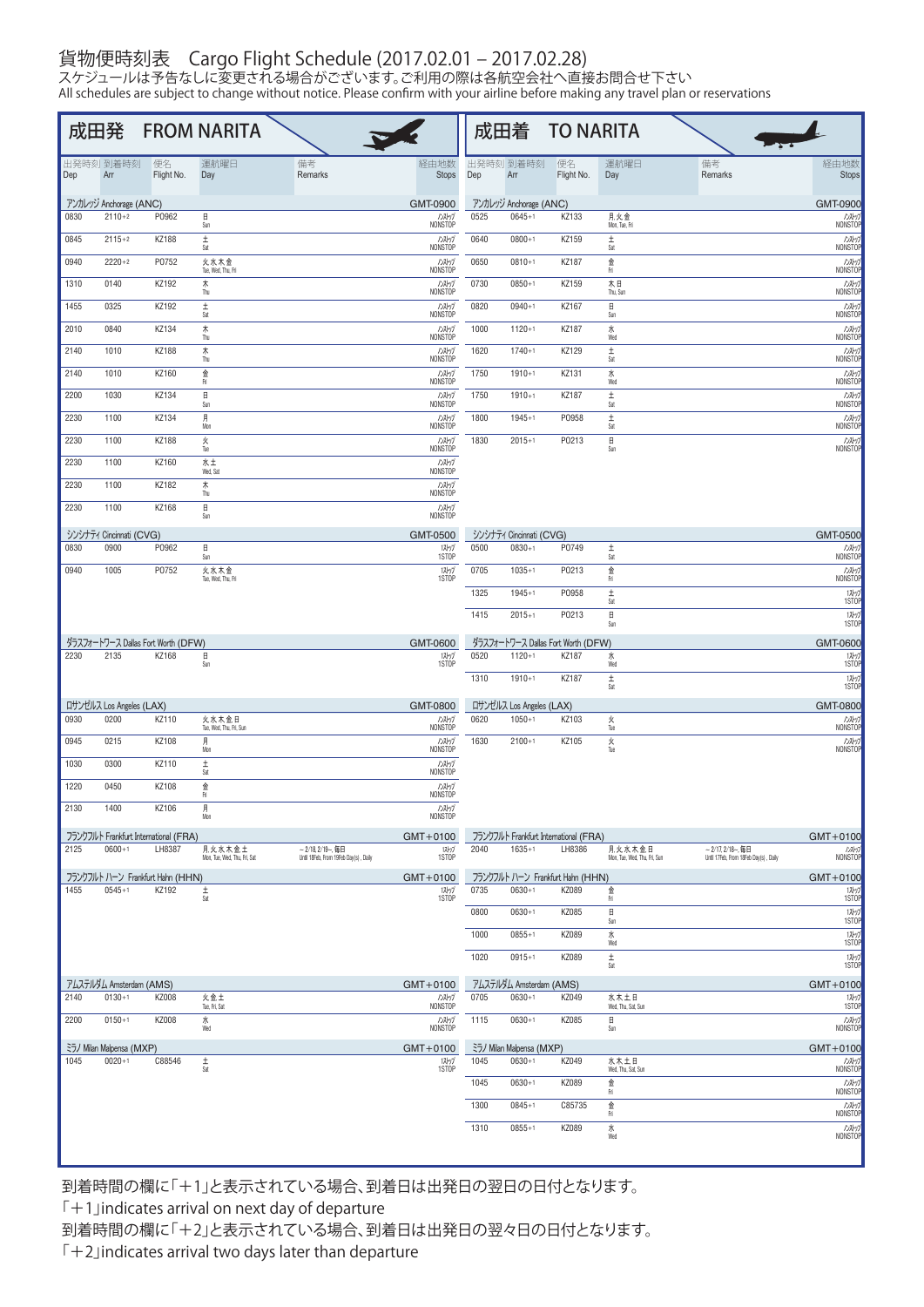## 貨物便時刻表 Cargo Flight Schedule (2017.02.01 – 2017.02.28)

スケジュールは予告なしに変更される場合がございます。ご利用の際は各航空会社へ直接お問合せ下さい All schedules are subject to change without notice. Please confirm with your airline before making any travel plan or reservations

|      |                                  |                                             | 成田発 FROM NARITA                        |                                                                 |                      |      |                                        | 成田着 TO NARITA                               |                                        |                                       |                        |
|------|----------------------------------|---------------------------------------------|----------------------------------------|-----------------------------------------------------------------|----------------------|------|----------------------------------------|---------------------------------------------|----------------------------------------|---------------------------------------|------------------------|
| Dep  | 出発時刻 到着時刻<br>Arr                 | 便名<br>Flight No.                            | 運航曜日<br>Day                            | 備考<br>Remarks                                                   | 経由地数<br><b>Stops</b> | Dep  | 出発時刻 到着時刻<br>Arr                       | 便名<br>Flight No.                            | 運航曜日<br>Day                            | 備考<br>Remarks                         | 経由地数<br><b>Stops</b>   |
|      | アンカレッジ Anchorage (ANC)           |                                             |                                        |                                                                 | GMT-0900             |      | アンカレッジ Anchorage (ANC)                 |                                             |                                        |                                       | GMT-0900               |
| 0830 | $2110+2$                         | P0962                                       | $\boxplus$<br>Sun                      |                                                                 | ハストップ<br>NONSTOP     | 0525 | $0645+1$                               | KZ133                                       | 月,火,金<br>Mon, Tue, Fri                 |                                       | ハストップ<br>NONSTOP       |
| 0845 | $2115 + 2$                       | KZ188                                       | $\pm$<br>Sat                           |                                                                 | ハストップ<br>NONSTOP     | 0640 | $0800 + 1$                             | KZ159                                       | $\pm$<br>Sat                           |                                       | ルストゥ<br>NONSTOP        |
| 0940 | $2220+2$                         | P0752                                       | 火水木金<br>Tue, Wed, Thu, Fri             |                                                                 | ハストップ<br>NONSTOP     | 0650 | $0810+1$                               | KZ187                                       | 金<br>Fri                               |                                       | ルストップ<br>NONSTOI       |
| 1310 | 0140                             | KZ192                                       | ★                                      |                                                                 | ハストップ                | 0730 | $0850+1$                               | KZ159                                       | 木日                                     |                                       | ルストゥ                   |
| 1455 | 0325                             | KZ192                                       | Thu<br>$\pm$                           |                                                                 | NONSTOP<br>ハストグ      | 0820 | $0940 + 1$                             | KZ167                                       | Thu, Sun<br>$\boxplus$                 |                                       | <b>NONSTO</b><br>ルストゥ  |
| 2010 | 0840                             | KZ134                                       | Sat<br>★                               |                                                                 | NONSTOP<br>ハストップ     | 1000 | $1120 + 1$                             | KZ187                                       | Sun<br>ж                               |                                       | NONSTO<br>ハストップ        |
| 2140 | 1010                             | KZ188                                       | Thu<br>★                               |                                                                 | NONSTOP<br>ハストップ     | 1620 | $1740+1$                               | KZ129                                       | Wed<br>$\pm$                           |                                       | NONSTOP<br>ルストップ       |
| 2140 | 1010                             | KZ160                                       | Thu<br>金                               |                                                                 | NONSTOP<br>リストップ     | 1750 | $1910+1$                               | KZ131                                       | Sat<br>ж                               |                                       | NONSTOP<br>ルストップ       |
|      | 1030                             | KZ134                                       | Fri<br>$\Box$                          |                                                                 | NONSTOP              | 1750 | $1910+1$                               | KZ187                                       | Wed<br>$\pm$                           |                                       | NONSTOI<br>ルストップ       |
| 2200 |                                  |                                             | Sun                                    |                                                                 | ハストップ<br>NONSTOP     |      |                                        |                                             | Sat                                    |                                       | <b>NONSTO</b>          |
| 2230 | 1100                             | KZ134                                       | 月<br>Mon                               |                                                                 | ハストグ<br>NONSTOP      | 1800 | $1945 + 1$                             | P0958                                       | $\pm$<br>Sat                           |                                       | ルストップ<br>NONSTOP       |
| 2230 | 1100                             | KZ188                                       | $\frac{\mathcal{W}}{\text{True}}$      |                                                                 | リストップ<br>NONSTOP     | 1830 | $2015+1$                               | P0213                                       | $\boxplus$<br>Sun                      |                                       | <b>DAMI</b><br>NONSTOP |
| 2230 | 1100                             | KZ160                                       | 水土<br>Wed, Sat                         |                                                                 | ハストグ<br>NONSTOP      |      |                                        |                                             |                                        |                                       |                        |
| 2230 | 1100                             | KZ182                                       | ★<br>Thu                               |                                                                 | ハストップ<br>NONSTOP     |      |                                        |                                             |                                        |                                       |                        |
| 2230 | 1100                             | KZ168                                       | $\Box$<br>Sun                          |                                                                 | ハストップ<br>NONSTOP     |      |                                        |                                             |                                        |                                       |                        |
|      | シンシナティ Cincinnati (CVG)          |                                             |                                        |                                                                 | GMT-0500             |      | シンシナティ Cincinnati (CVG)                |                                             |                                        |                                       | <b>GMT-0500</b>        |
| 0830 | 0900                             | P0962                                       | $\boxminus$<br>Sun                     |                                                                 | 12/97<br>1STOP       | 0500 | $0830+1$                               | P0749                                       | $\pm$<br>Sat                           |                                       | ルストップ<br>NONSTOP       |
| 0940 | 1005                             | P0752                                       | 火水木金<br>Tue, Wed, Thu, Fri             |                                                                 | 1ストップ<br>1STOP       | 0705 | $1035+1$                               | P0213                                       | 金<br>Fri                               |                                       | DAMIT                  |
|      |                                  |                                             |                                        |                                                                 |                      | 1325 | $1945+1$                               | P0958                                       | $\pm$<br>Sat                           |                                       | 12/77<br>1STOF         |
|      |                                  |                                             |                                        |                                                                 |                      | 1415 | $2015+1$                               | P0213                                       | Η                                      |                                       | 12/57                  |
|      |                                  |                                             |                                        |                                                                 |                      |      |                                        |                                             | Sun                                    |                                       | 1STOF                  |
| 2230 | 2135                             | ダラスフォートワース Dallas Fort Worth (DFW)<br>KZ168 | 日                                      |                                                                 | GMT-0600<br>12-17    | 0520 | $1120 + 1$                             | ダラスフォートワース Dallas Fort Worth (DFW)<br>KZ187 | 水                                      |                                       | GMT-0600<br>1ストップ      |
|      |                                  |                                             | Sun                                    |                                                                 | 1STOP                | 1310 | $1910+1$                               | KZ187                                       | Wed<br>$\pm$                           |                                       | 1STOP<br>12/97         |
|      |                                  |                                             |                                        |                                                                 |                      |      |                                        |                                             | Sat                                    |                                       | 1STOF                  |
| 0930 | ロサンゼルス Los Angeles (LAX)<br>0200 | KZ110                                       | 火水木金日                                  |                                                                 | GMT-0800<br>ハストップ    | 0620 | ロサンゼルス Los Angeles (LAX)<br>$1050 + 1$ | KZ103                                       | 火                                      |                                       | GMT-0800<br>ハストップ      |
| 0945 | 0215                             | KZ108                                       | Tue, Wed, Thu, Fri, Sun<br>月           |                                                                 | NONSTOP<br>ハストグ      | 1630 | $2100+1$                               | KZ105                                       | Tue<br>火                               |                                       | NONSTOP<br>ルストップ       |
| 1030 | 0300                             | KZ110                                       | Mon                                    |                                                                 | NONSTOP<br>ハストップ     |      |                                        |                                             | Tue                                    |                                       | NONSTOP                |
| 1220 | 0450                             | KZ108                                       | $\frac{\pm}{\text{Sat}}$               |                                                                 | NONSTOP              |      |                                        |                                             |                                        |                                       |                        |
|      |                                  |                                             | 金<br>所                                 |                                                                 | ハストップ<br>NONSTOP     |      |                                        |                                             |                                        |                                       |                        |
| 2130 | 1400                             | KZ106                                       | 月<br>Mon                               |                                                                 | リストリフ<br>NONSTOP     |      |                                        |                                             |                                        |                                       |                        |
|      |                                  | フランクフルト Frankfurt International (FRA)       |                                        |                                                                 | $GMT+0100$           |      |                                        | フランクフルト Frankfurt International (FRA)       |                                        | $\sim 2/17.2/18 - .60$                | $GMT + 0100$           |
| 2125 | $0600 + 1$                       | LH8387                                      | 月火水木金土<br>Mon, Tue, Wed, Thu, Fri, Sat | $\sim$ 2/18, 2/19~, 毎日<br>Until 18Feb, From 19Feb Day(s), Daily | 12/7<br>1STOP        | 2040 | $1635 + 1$                             | LH8386                                      | 月火水木金日<br>Mon, Tue, Wed, Thu, Fri, Sun | Until 17Feb, From 18Feb Day(s), Daily | ハストグ<br>NONSTOP        |
| 1455 | $0545 + 1$                       | フランクフルト ハーン Frankfurt Hahn (HHN)<br>KZ192   |                                        |                                                                 | $GMT + 0100$         | 0735 | $0630+1$                               | フランクフルト ハーン Frankfurt Hahn (HHN)<br>KZ089   |                                        |                                       | $GMT + 0100$           |
|      |                                  |                                             | Ŧ<br>Sat                               |                                                                 | 1ストップ<br>1STOP       |      |                                        |                                             | 金<br>Fri                               |                                       | 12/7<br>1STOF          |
|      |                                  |                                             |                                        |                                                                 |                      | 0800 | $0630+1$                               | KZ085                                       | Η<br>Sun                               |                                       | 1ストップ<br>1STOP         |
|      |                                  |                                             |                                        |                                                                 |                      | 1000 | $0855 + 1$                             | KZ089                                       | 水<br>Wed                               |                                       | 12/97<br>1STOP         |
|      |                                  |                                             |                                        |                                                                 |                      | 1020 | $0915+1$                               | KZ089                                       | $\pm$<br>Sat                           |                                       | 12/07<br>1STOP         |
|      | アムステルダム Amsterdam (AMS)          |                                             |                                        |                                                                 | $GMT+0100$           |      | アムステルダム Amsterdam (AMS)                |                                             |                                        |                                       | $GMT+0100$             |
| 2140 | $0130 + 1$                       | KZ008                                       | 火金土<br>Tue, Fri, Sat                   |                                                                 | ハストップ<br>NONSTOP     | 0705 | $0630+1$                               | KZ049                                       | 水木土日<br>Wed, Thu, Sat, Sun             |                                       | 1ストップ<br>1STOP         |
| 2200 | $0150 + 1$                       | KZ008                                       | 水<br>Wed                               |                                                                 | ハストップ<br>NONSTOP     | 1115 | $0630+1$                               | KZ085                                       | $\boxplus$<br>Sun                      |                                       | ルストップ<br>NONSTOP       |
|      | ミラノ Milan Malpensa (MXP)         |                                             |                                        |                                                                 | $GMT + 0100$         |      | ミラノ Milan Malpensa (MXP)               |                                             |                                        |                                       | $GMT + 0100$           |
| 1045 | $0020 + 1$                       | C88546                                      | $\pm$<br>Sat                           |                                                                 | 12/97<br>1STOP       | 1045 | $0630+1$                               | KZ049                                       | 水木土日<br>Wed, Thu, Sat, Sun             |                                       | ルストップ<br>NONSTOP       |
|      |                                  |                                             |                                        |                                                                 |                      | 1045 | $0630 + 1$                             | KZ089                                       | 金<br>Fri                               |                                       | ルストップ<br>NONSTOP       |
|      |                                  |                                             |                                        |                                                                 |                      | 1300 | $0845+1$                               | C85735                                      | 金<br>$\mathsf{F}\!\mathsf{n}$          |                                       | ルストップ<br>NONSTOP       |
|      |                                  |                                             |                                        |                                                                 |                      | 1310 | $0855 + 1$                             | KZ089                                       | 水<br>Wed                               |                                       | ルストップ<br>NONSTOP       |
|      |                                  |                                             |                                        |                                                                 |                      |      |                                        |                                             |                                        |                                       |                        |

到着時間の欄に「+1」と表示されている場合、到着日は出発日の翌日の日付となります。

「+1」indicates arrival on next day of departure

到着時間の欄に「+2」と表示されている場合、到着日は出発日の翌々日の日付となります。

 $\lceil +2 \rfloor$  indicates arrival two days later than departure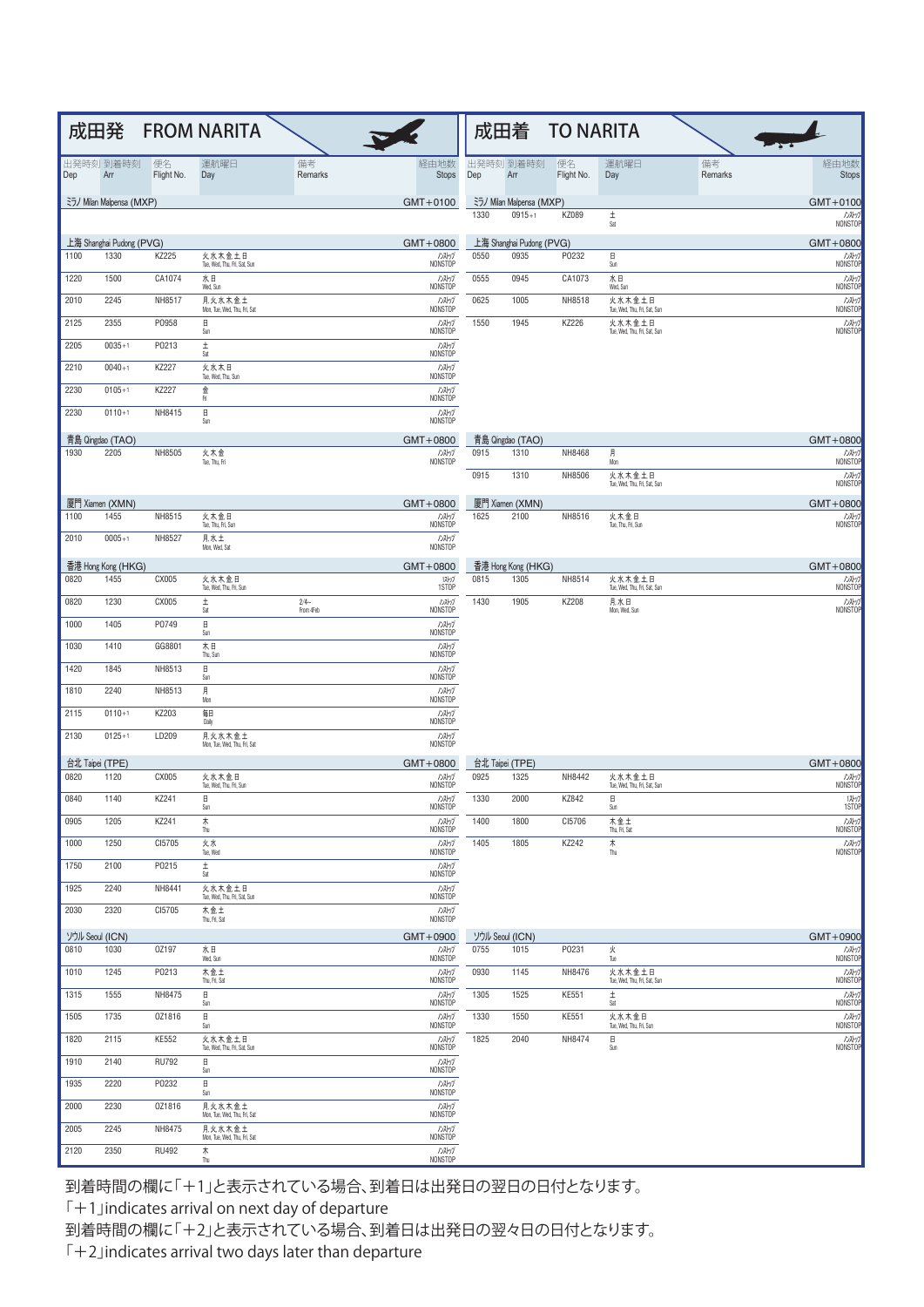|      |                            |                  | 成田発 FROM NARITA                                  |                     |                       |      |                            | 成田着 TO NARITA    |                                        |               |                         |
|------|----------------------------|------------------|--------------------------------------------------|---------------------|-----------------------|------|----------------------------|------------------|----------------------------------------|---------------|-------------------------|
| Dep  | 出発時刻 到着時刻<br>Arr           | 便名<br>Flight No. | 運航曜日<br>Day                                      | 備考<br>Remarks       | 経由地数<br><b>Stops</b>  | Dep  | 出発時刻 到着時刻<br>Arr           | 便名<br>Flight No. | 運航曜日<br>Day                            | 備考<br>Remarks | 経由地数<br><b>Stops</b>    |
|      | ミラノ Milan Malpensa (MXP)   |                  |                                                  |                     | $GMT+0100$            |      | ミラノ Milan Malpensa (MXP)   |                  |                                        |               | $GMT + 0100$            |
|      |                            |                  |                                                  |                     |                       | 1330 | $0915+1$                   | KZ089            | $\pm$<br>Sat                           |               | ルストップ<br>NONSTOP        |
|      | 上海 Shanghai Pudong (PVG)   |                  |                                                  |                     | $GMT + 0800$          |      | 上海 Shanghai Pudong (PVG)   |                  |                                        |               | $GMT + 0800$            |
| 1100 | 1330                       | KZ225            | 火水木金土日<br>Tue, Wed, Thu, Fri, Sat, Sun           |                     | ハストップ<br>NONSTOP      | 0550 | 0935                       | P0232            | Η<br>Sun                               |               | ハストップ<br>NONSTOP        |
| 1220 | 1500                       | CA1074           | 水日<br>Wed, Sun                                   |                     | ハストップ<br>NONSTOP      | 0555 | 0945                       | CA1073           | 水日<br>Wed, Sun                         |               | ルストップ<br>NONSTOP        |
| 2010 | 2245                       | NH8517           | 月, 火, 水, 木, 金, 土<br>Mon, Tue, Wed, Thu, Fri, Sat |                     | パップ<br>NONSTOP        | 0625 | 1005                       | NH8518           | 火水木金土日<br>Tue, Wed, Thu, Fri, Sat, Sun |               | ハストップ<br><b>NONSTOP</b> |
| 2125 | 2355                       | P0958            | $\boxplus$<br>Sun                                |                     | ハストップ<br>NONSTOP      | 1550 | 1945                       | KZ226            | 火水木金土日<br>Tue, Wed, Thu, Fri, Sat, Sun |               | ルストップ<br>NONSTOP        |
| 2205 | $0035 + 1$                 | P0213            | $\pm$<br>Sat                                     |                     | ハストップ<br>NONSTOP      |      |                            |                  |                                        |               |                         |
| 2210 | $0040 + 1$                 | KZ227            | 火水木日                                             |                     | ハストップ                 |      |                            |                  |                                        |               |                         |
| 2230 | $0105 + 1$                 | KZ227            | Tue, Wed, Thu, Sun<br>金                          |                     | NONSTOP<br>ハストップ      |      |                            |                  |                                        |               |                         |
| 2230 | $0110+1$                   | NH8415           | Fri<br>$\boxplus$                                |                     | NONSTOP<br>ハストップ      |      |                            |                  |                                        |               |                         |
|      |                            |                  | Sun                                              |                     | <b>NONSTOP</b>        |      |                            |                  |                                        |               |                         |
| 1930 | 青島 Qingdao (TAO)<br>2205   | NH8505           | 火木金                                              |                     | $GMT + 0800$<br>ハストリフ | 0915 | 青島 Qingdao (TAO)<br>1310   | NH8468           | 月<br>Mon                               |               | $GMT + 0800$<br>ルストップ   |
|      |                            |                  | Tue, Thu, Fri                                    |                     | NONSTOP               | 0915 | 1310                       | NH8506           | 火水木金土日                                 |               | NONSTOP<br>ルストップ        |
|      |                            |                  |                                                  |                     |                       |      |                            |                  | Tue, Wed, Thu, Fri, Sat, Sun           |               | NONSTOP                 |
| 1100 | 厦門 Xiamen (XMN)<br>1455    | NH8515           | 火木金日                                             |                     | $GMT + 0800$<br>ハストップ | 1625 | 厦門 Xiamen (XMN)<br>2100    | NH8516           | 火木金日                                   |               | $GMT + 0800$<br>ルストップ   |
| 2010 | $0005 + 1$                 | NH8527           | Tue, Thu, Fri, Sun<br>月.水土                       |                     | NONSTOP<br>ハストップ      |      |                            |                  | Tue, Thu, Fri, Sun                     |               | NONSTOP                 |
|      |                            |                  | Mon, Wed, Sat                                    |                     | NONSTOP               |      |                            |                  |                                        |               |                         |
| 0820 | 杳港 Hong Kong (HKG)<br>1455 | CX005            | 火水木金日                                            |                     | $GMT + 0800$<br>12/7  | 0815 | 香港 Hong Kong (HKG)<br>1305 | NH8514           | 火水木金土日                                 |               | $GMT + 0800$<br>ルストップ   |
|      | 1230                       |                  | Tue, Wed, Thu, Fri, Sun                          |                     | 1STOP                 | 1430 | 1905                       | KZ208            | Tue, Wed, Thu, Fri, Sat, Sun           |               | NONSTOP                 |
| 0820 |                            | CX005            | $\pm$<br>Sat                                     | $2/4-$<br>From 4Feb | ハストグ<br>NONSTOP       |      |                            |                  | 月,水日<br>Mon, Wed, Sun                  |               | ハストップ<br>NONSTOP        |
| 1000 | 1405                       | P0749            | $\boxplus$<br>Sun                                |                     | ハストップ<br>NONSTOP      |      |                            |                  |                                        |               |                         |
| 1030 | 1410                       | GG8801           | 木日<br>Thu, Sun                                   |                     | ハストリフ<br>NONSTOP      |      |                            |                  |                                        |               |                         |
| 1420 | 1845                       | NH8513           | $\boxplus$<br>Sun                                |                     | ハストップ<br>NONSTOP      |      |                            |                  |                                        |               |                         |
| 1810 | 2240                       | NH8513           | 月<br>Mon                                         |                     | ハストリフ<br>NONSTOP      |      |                            |                  |                                        |               |                         |
| 2115 | $0110+1$                   | KZ203            | 毎日<br>Daily                                      |                     | ハストグ<br>NONSTOP       |      |                            |                  |                                        |               |                         |
| 2130 | $0125 + 1$                 | LD209            | 月火水木金土<br>Mon, Tue, Wed, Thu, Fri, Sat           |                     | ハストップ<br>NONSTOP      |      |                            |                  |                                        |               |                         |
|      | 台北 Taipei (TPE)            |                  |                                                  |                     | $GMT + 0800$          |      | 台北 Taipei (TPE)            |                  |                                        |               | $GMT + 0800$            |
| 0820 | 1120                       | CX005            | 火水木金日<br>Tue, Wed, Thu, Fri, Sun                 |                     | ハストップ<br>NONSTOP      | 0925 | 1325                       | NH8442           | 火水木金土日<br>Tue, Wed, Thu, Fri, Sat, Sun |               | ハストップ<br>NONSTOP        |
| 0840 | 1140                       | KZ241            | $\Box$<br>Sun                                    |                     | ハストップ<br>NONSTOP      | 1330 | 2000                       | KZ842            | $\Box$<br>Sun                          |               | 12-57<br>1STOP          |
| 0905 | 1205                       | KZ241            | 木<br>Thu                                         |                     | ハストップ<br>NONSTOP      | 1400 | 1800                       | CI5706           | 木金土<br>Thu, Fri, Sat                   |               | ルストップ<br>NONSTOP        |
| 1000 | 1250                       | CI5705           | 火水<br>Tue, Wed                                   |                     | ハストップ<br>NONSTOP      | 1405 | 1805                       | KZ242            | 木<br>Thu                               |               | ルストップ<br><b>NONSTOP</b> |
| 1750 | 2100                       | P0215            | $\pm$                                            |                     | ハストップ<br>NONSTOP      |      |                            |                  |                                        |               |                         |
| 1925 | 2240                       | NH8441           | Sat<br>火水木金土日                                    |                     | ハストップ                 |      |                            |                  |                                        |               |                         |
| 2030 | 2320                       | CI5705           | Tue, Wed, Thu, Fri, Sat, Sun<br>木金土              |                     | NONSTOP<br>ハストップ      |      |                            |                  |                                        |               |                         |
|      |                            |                  | Thu, Fri, Sat                                    |                     | NONSTOP               |      |                            |                  |                                        |               |                         |
| 0810 | ソウル Seoul (ICN)<br>1030    | 0Z197            | 水日                                               |                     | $GMT + 0900$<br>ハストップ | 0755 | ソウル Seoul (ICN)<br>1015    | P0231            | 火                                      |               | $GMT + 0900$<br>ハストップ   |
| 1010 | 1245                       | P0213            | Wed, Sun<br>木金 土                                 |                     | NONSTOP<br>ハストップ      | 0930 | 1145                       | NH8476           | Tue<br>火水木金土日                          |               | NONSTOP<br>ハストップ        |
| 1315 | 1555                       | NH8475           | Thu, Fri, Sat<br>$\Box$                          |                     | NONSTOP<br>ハストップ      | 1305 | 1525                       | <b>KE551</b>     | Tue, Wed, Thu, Fri, Sat, Sun<br>$\pm$  |               | NONSTOP<br>ルストップ        |
| 1505 | 1735                       | 0Z1816           | Sun<br>$\boxplus$                                |                     | NONSTOP<br>ハストグ       | 1330 | 1550                       | <b>KE551</b>     | Sat<br>火水木金日                           |               | NONSTOP<br>ルストップ        |
| 1820 | 2115                       | <b>KE552</b>     | Sun<br>火水木金土日                                    |                     | NONSTOP               | 1825 | 2040                       | NH8474           | Tue, Wed, Thu, Fri, Sun<br>Η           |               | NONSTOP                 |
|      |                            |                  | Tue, Wed, Thu, Fri, Sat, Sun                     |                     | ハストグ<br>NONSTOP       |      |                            |                  | Sun                                    |               | TO ANT                  |
| 1910 | 2140                       | <b>RU792</b>     | $\boxplus$<br>Sun                                |                     | ハストップ<br>NONSTOP      |      |                            |                  |                                        |               |                         |
| 1935 | 2220                       | P0232            | $\boxplus$<br>Sun                                |                     | ハストップ<br>NONSTOP      |      |                            |                  |                                        |               |                         |
| 2000 | 2230                       | 0Z1816           | 月火水木金土<br>Mon, Tue, Wed, Thu, Fri, Sat           |                     | ハストップ<br>NONSTOP      |      |                            |                  |                                        |               |                         |
| 2005 | 2245                       | NH8475           | 月,火,水,太,金,土<br>Mon, Tue, Wed, Thu, Fri, Sat      |                     | ハストップ<br>NONSTOP      |      |                            |                  |                                        |               |                         |
| 2120 | 2350                       | <b>RU492</b>     | ★<br>Thu                                         |                     | ハストップ<br>NONSTOP      |      |                            |                  |                                        |               |                         |

到着時間の欄に「+1」と表示されている場合、到着日は出発日の翌日の日付となります。

「+1」indicates arrival on next day of departure

到着時間の欄に「+2」と表示されている場合、到着日は出発日の翌々日の日付となります。

 $\sqrt{+2}$  indicates arrival two days later than departure